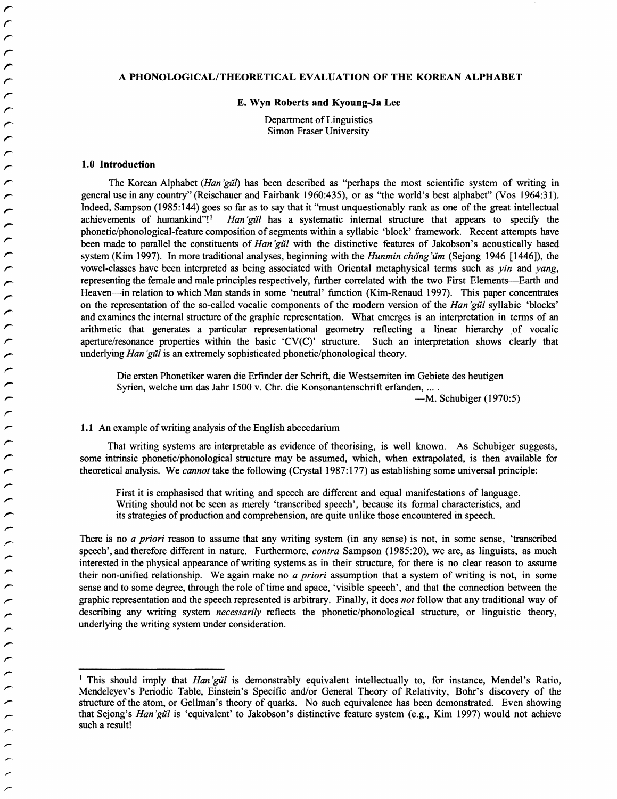# A PHONOLOGICAL/THEORETICAL EVALUATION OF THE KOREAN ALPHABET

#### E. Wyn Roberts and Kyoung-Ja Lee

Department of Linguistics<br> **Represents Intervalse Properties** *representation* Fraser University

### 1.0 Introduction

The Korean Alphabet *(Han 'gi1t)* has been described as "perhaps the most scientific system of writing in general use in any country" (Reischauer and Fairbank 1960:435), or as "the world's best alphabet" (Vos 1964:31). Indeed, Sampson (1985:144) goes so far as to say that it "must unquestionably rank as one of the great intellectual achievements of humankind"! Han'gu'l has a systematic internal structure that appears to specify the Han'gu'l has a systematic internal structure that appears to specify the phonetic/phonological-feature composition of segments within a syllabic 'block' framework. Recent attempts have been made to parallel the constituents of *Han 'giil* with the distinctive features of Jakobson's acoustically based system (Kim 1997). In more traditional analyses, beginning with the *Hunmin chong'um* (Sejong 1946 [1446]), the vowel-classes have been interpreted as being associated with Oriental metaphysical terms such as *yin* and *yang,*  representing the female and male principles respectively, further correlated with the two First Elements-Earth and Heaven—in relation to which Man stands in some 'neutral' function (Kim-Renaud 1997). This paper concentrates on the representation of the so-called vocalic components of the modem version of the *Han 'giil* syllabic 'blocks' and examines the internal structure of the graphic representation. What emerges is an interpretation in terms of an arithmetic that generates a particular representational geometry reflecting a linear hierarchy of vocalic aperture/resonance properties within the basic 'CV(C)' structure. Such an interpretation shows clearly that underlying *Han 'giil* is an extremely sophisticated phonetic/phonological theory.

Die ersten Phonetiker waren die Erfinder der Schrift, die Westsemiten im Gebiete des heutigen Syrien, welche um das Jahr 1500 v. Chr. die Konsonantenschrift erfanden, ....

-M. Schubiger (1970:5)

### 1.1 An example of writing analysis of the English abecedarium

That writing systems are interpretable as evidence of theorising, is well known. As Schubiger suggests, some intrinsic phonetic/phonological structure may be assumed, which, when extrapolated, is then available for theoretical analysis. We *cannot* take the following (Crystal 1987:177) as establishing some universal principle:

First it is emphasised that writing and speech are different and equal manifestations of language. Writing should not be seen as merely 'transcribed speech', because its formal characteristics, and its strategies of production and comprehension, are quite unlike those encountered in speech.

There is no *a priori* reason to assume that any writing system (in any sense) is not, in some sense, 'transcribed speech', and therefore different in nature. Furthermore, *contra* Sampson (1985:20), we are, as linguists, as much interested in the physical appearance ofwriting systems as in their structure, for there is no clear reason to assume their non-unified relationship. We again make no *a priori* assumption that a system of writing is not, in some sense and to some degree, through the role of time and space, 'visible speech', and that the connection between the graphic representation and the speech represented is arbitrary. Finally, it does *not* follow that any traditional way of describing any writing system *necessarily* reflects the phonetic/phonological structure, or linguistic theory, underlying the writing system under consideration.

<sup>&</sup>lt;sup>1</sup> This should imply that *Han'gŭl* is demonstrably equivalent intellectually to, for instance, Mendel's Ratio, Mendeleyev's Periodic Table, Einstein's Specific and/or General Theory of Relativity, Bohr's discovery of the structure ofthe atom, or Gellman's theory of quarks. No such equivalence has been demonstrated. Even showing that Sejong's *Han 'giil* is 'equivalent' to Jakobson's distinctive feature system (e.g., Kim 1997) would not achieve such a result!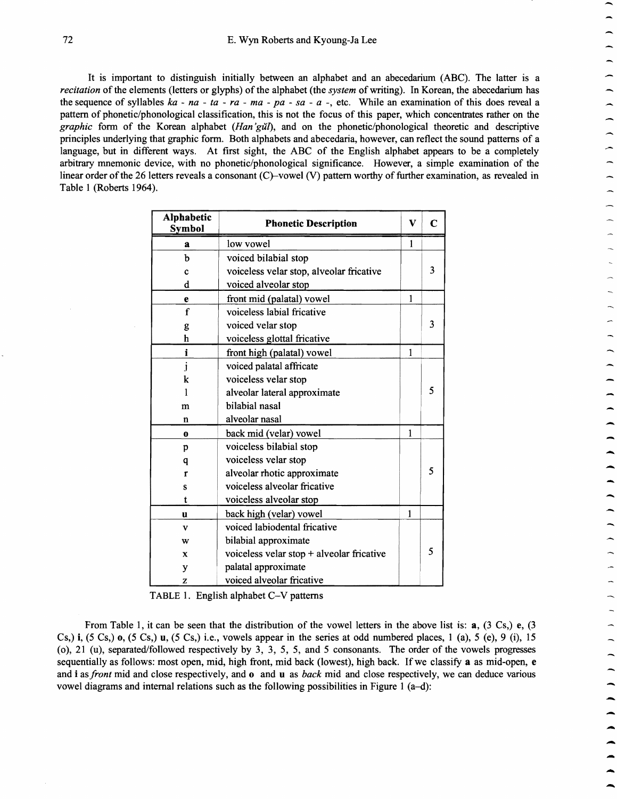It is important to distinguish initially between an alphabet and an abecedarium (ABC). The latter is a *recitation* of the elements (letters or glyphs) of the alphabet (the *system* of writing). In Korean, the abecedarium has the sequence of syllables  $ka - na - ta - ra - ma - pa - sa - a$ . etc. While an examination of this does reveal a pattern of phonetic/phonological classification, this is not the focus of this paper, which concentrates rather on the *graphic* form of the Korean alphabet *(Han'gul)*, and on the phonetic/phonological theoretic and descriptive principles underlying that graphic form. Both alphabets and abecedaria, however, can reflect the sound patterns of a language, but in different ways. At first sight, the ABC of the English alphabet appears to be a completely arbitrary mnemonic device, with no phonetic/phonological significance. However, a simple examination of the linear order of the 26 letters reveals a consonant  $(C)$ -vowel  $(V)$  pattern worthy of further examination, as revealed in Table 1 (Roberts 1964).

| <b>Alphabetic</b><br><b>Symbol</b> | <b>Phonetic Description</b>               | V | C |
|------------------------------------|-------------------------------------------|---|---|
| a                                  | low vowel                                 | 1 |   |
| b                                  | voiced bilabial stop                      |   |   |
| Ċ                                  | voiceless velar stop, alveolar fricative  |   | 3 |
| d                                  | voiced alveolar stop                      |   |   |
| e                                  | front mid (palatal) vowel                 | 1 |   |
| f                                  | voiceless labial fricative                |   |   |
| g                                  | voiced velar stop                         |   | 3 |
| h                                  | voiceless glottal fricative               |   |   |
| i                                  | front high (palatal) vowel                | 1 |   |
| j                                  | voiced palatal affricate                  |   |   |
| k                                  | voiceless velar stop                      |   |   |
| 1                                  | alveolar lateral approximate              |   | 5 |
| m                                  | bilabial nasal                            |   |   |
| n                                  | alveolar nasal                            |   |   |
| o                                  | back mid (velar) vowel                    | 1 |   |
| p                                  | voiceless bilabial stop                   |   |   |
| q                                  | voiceless velar stop                      |   |   |
| r                                  | alveolar rhotic approximate               |   | 5 |
| S                                  | voiceless alveolar fricative              |   |   |
| t                                  | voiceless alveolar stop                   |   |   |
| u                                  | back high (velar) vowel                   | 1 |   |
| v                                  | voiced labiodental fricative              |   |   |
| w                                  | bilabial approximate                      |   |   |
| x                                  | voiceless velar stop + alveolar fricative |   | 5 |
| у                                  | palatal approximate                       |   |   |
| z                                  | voiced alveolar fricative                 |   |   |

-

 $\overline{\phantom{0}}$ 

--<br>-<br>--

-<br>-<br>-

-<br>-<br>-

TABLE 1. English alphabet C-V patterns

From Table 1, it can be seen that the distribution of the vowel letters in the above list is: a, (3 Cs,) e, (3 Cs,) i,  $(5 \text{ Cs})$ ,  $(6 \text{ Cs})$ ,  $(7 \text{ Cs})$ ,  $(8 \text{ Cs})$ , i.e., vowels appear in the series at odd numbered places, 1 (a), 5 (e), 9 (i), 15 (0), 21 (u), separated/followed respectively by 3, 3, 5, 5, and 5 consonants. The order of the vowels progresses sequentially as follows: most open, mid, high front, mid back (lowest), high back. If we classify a as mid-open, e and **i** as *front* mid and close respectively, and **o** and **u** as *back* mid and close respectively, we can deduce various vowel diagrams and internal relations such as the following possibilities in Figure 1 (a-d):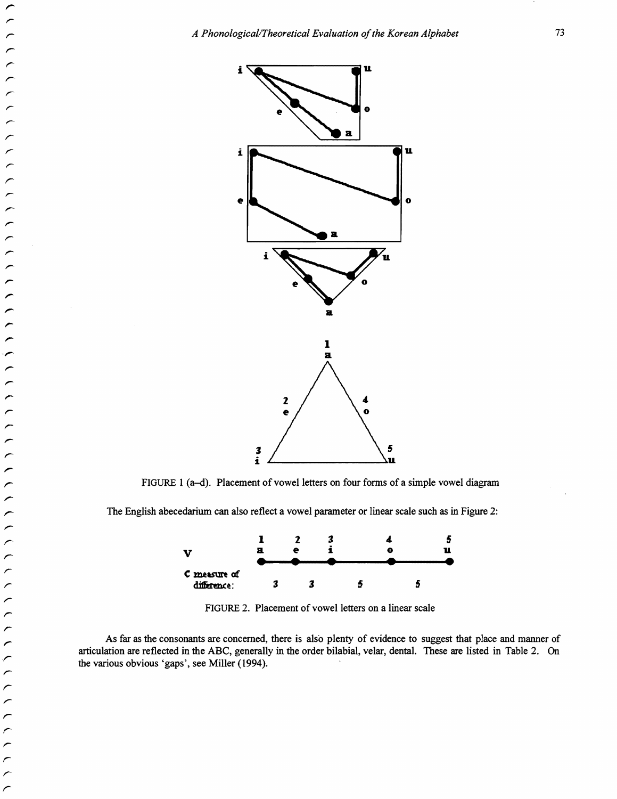

FIGURE 1 (a-d). Placement of vowel letters on four forms of a simple vowel diagram

The English abecedarium can also reflect a vowel parameter or linear scale such as in Figure 2:



FIGURE 2. Placement of vowel letters on a linear scale

As far as the consonants are concerned, there is also plenty of evidence to suggest that place and manner of articulation are reflected in the ABC, generally in the order bilabial, velar, dental. These are listed in Table 2. On the various obvious 'gaps', see Miller (1994).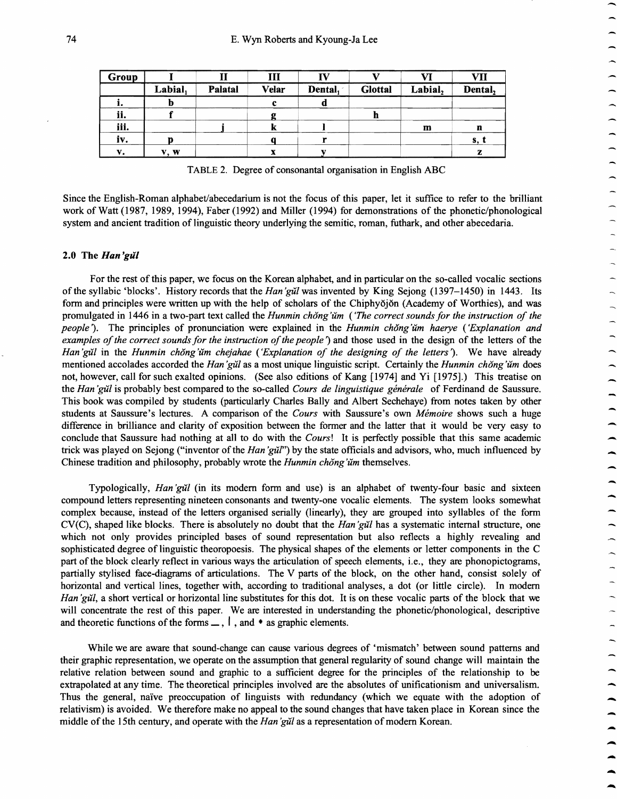| Group |         |         | Ш     |         |                | VI      | VII     |
|-------|---------|---------|-------|---------|----------------|---------|---------|
|       | Labial, | Palatal | Velar | Dental, | <b>Glottal</b> | Labial, | Dental, |
| ı.    |         |         |       |         |                |         |         |
| ii.   |         |         |       |         |                |         |         |
| iii.  |         |         | w     |         |                | m       | n       |
| iv.   |         |         |       |         |                |         | S, 1    |
| v.    | V. W    |         |       |         |                |         | z       |

TABLE 2. Degree of consonantal organisation in English ABC

Since the English-Roman alphabet/abecedarium is not the focus of this paper, let it suffice to refer to the brilliant work of Watt (1987, 1989, 1994), Faber (1992) and Miller (1994) for demonstrations of the phonetic/phonological system and ancient tradition of linguistic theory underlying the semitic, roman, futhark, and other abecedaria.

#### 2.0 The *Han 'gill*

For the rest of this paper, we focus on the Korean alphabet, and in particular on the so-called vocalic sections of the syllabic 'blocks'. History records that the *Han 'gill* was invented by King Sejong (1397-1450) in 1443. Its fonn and principles were written up with the help of scholars of the Chiphyojon (Academy of Worthies), and was promulgated in 1446 in a two-part text called the *Hunmin chong 'um ('The correct sounds for the instruction of the people).* The principles of pronunciation were explained in the *Hunmin chong 'um haerye ('Explanation and examples of the correct sounds for the instruction of the people'*) and those used in the design of the letters of the *Han'gull* in the *Hunmin chong'um chejahae* ('Explanation of the designing of the letters'). We have already mentioned accolades accorded the *Han 'gill* as a most unique linguistic script. Certainly the *Hunmin chong 'um* does not, however, call for such exalted opinions. (See also editions of Kang [1974] and Yi [1975].) This treatise on the *Han 'gUI* is probably best compared to the so-called *Cours de linguistique generale* of Ferdinand de Saussure. This book was compiled by students (particularly Charles Bally and Albert Sechehaye) from notes taken by other students at Saussure's lectures. A comparison of the *Cours* with Saussure's own *Memoire* shows such a huge difference in brilliance and clarity of exposition between the fonner and the latter that it would be very easy to conclude that Saussure had nothing at all to do with the *Cours!* It is perfectly possible that this same academic trick was played on Sejong ("inventor of the *Han'gul"*") by the state officials and advisors, who, much influenced by Chinese tradition and philosophy, probably wrote the *Hunmin chong'um* themselves.

Typologically, *Han'gul* (in its modern form and use) is an alphabet of twenty-four basic and sixteen compound letters representing nineteen consonants and twenty-one vocalic elements. The system looks somewhat complex because, instead of the letters organised serially (linearly), they are grouped into syllables of the fonn CV(C), shaped like blocks. There is absolutely no doubt that the *Han 'gill* has a systematic internal structure, one which not only provides principled bases of sound representation but also reflects a highly revealing and sophisticated degree of linguistic theoropoesis. The physical shapes of the elements or letter components in the C part of the block clearly reflect in various ways the articulation of speech elements, Le., they are phonopictograms, partially stylised face-diagrams of articulations. The V parts of the block, on the other hand, consist solely of horizontal and vertical lines, together with, according to traditional analyses, a dot (or little circle). In modern *Han 'gul,* a short vertical or horizontal line substitutes for this dot. It is on these vocalic parts of the block that we will concentrate the rest of this paper. We are interested in understanding the phonetic/phonological, descriptive and theoretic functions of the forms  $\Box$ ,  $\Box$ , and  $\bullet$  as graphic elements.

While we are aware that sound-change can cause various degrees of 'mismatch' between sound patterns and their graphic representation, we operate on the assumption that general regularity of sound change will maintain the relative relation between sound and graphic to a sufficient degree for the principles of the relationship to be extrapolated at any time. The theoretical principles involved are the absolutes of unificationism and universalism. Thus the general, naive preoccupation of linguists with redundancy (which we equate with the adoption of relativism) is avoided. We therefore make no appeal to the sound changes that have taken place in Korean since the middle of the 15th century, and operate with the *Han 'gill* as a representation of modem Korean.

....

-

-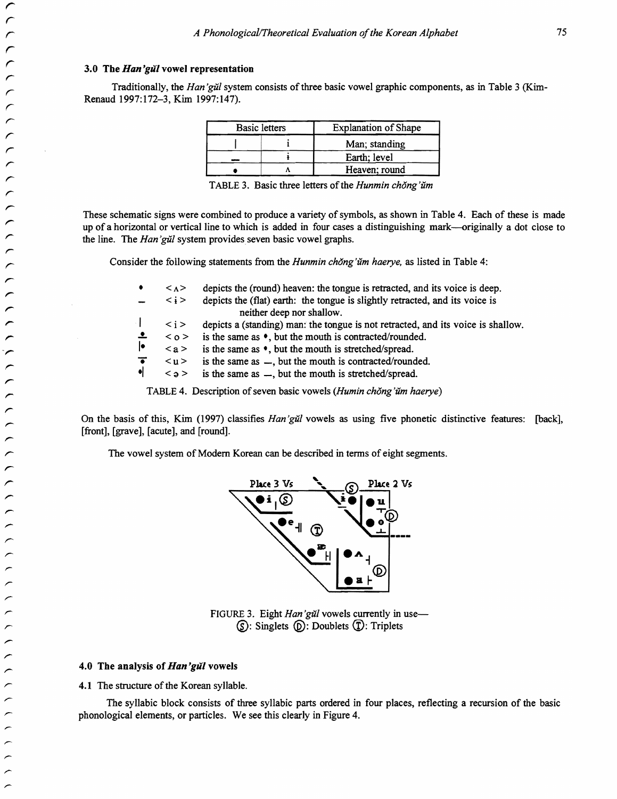#### 3.0 The *Han 'gill* vowel representation

r *r* 

*r r*  r r *r* 

r r r r

r

*r* 

*r* 

*r* 

╭

 $\overline{a}$ 

Traditionally, the *Han'gull* system consists of three basic vowel graphic components, as in Table 3 (Kim-Renaud 1997:172-3, Kim 1997:147).

| <b>Basic letters</b> |  | <b>Explanation of Shape</b> |  |
|----------------------|--|-----------------------------|--|
|                      |  | Man; standing               |  |
|                      |  | Earth; level                |  |
|                      |  | Heaven; round               |  |
|                      |  |                             |  |

TABLE 3. Basic three letters of the *Hunmin chong'um* 

These schematic signs were combined to produce a variety of symbols, as shown in Table 4. Each of these is made up of a horizontal or vertical line to which is added in four cases a distinguishing mark--originally a dot close to the line. The *Han'gŭl* system provides seven basic vowel graphs.

Consider the following statements from the *Hunmin chong'um haerye,* as listed in Table 4:

|   |           | $\langle \Lambda \rangle$ | depicts the (round) heaven: the tongue is retracted, and its voice is deep.                    |
|---|-----------|---------------------------|------------------------------------------------------------------------------------------------|
| ╭ |           |                           |                                                                                                |
|   |           | $\langle i \rangle$       | depicts the (flat) earth: the tongue is slightly retracted, and its voice is                   |
| ╭ |           |                           | neither deep nor shallow.                                                                      |
| ╭ |           | $\langle i \rangle$       | depicts a (standing) man: the tongue is not retracted, and its voice is shallow.               |
| ∼ |           |                           | $\langle$ o > is the same as $\bullet$ , but the mouth is contracted/rounded.                  |
| ∼ | IФ        |                           | $\langle a \rangle$ is the same as $\bullet$ , but the mouth is stretched/spread.              |
| ∼ | $\bullet$ | $<$ u $>$                 | is the same as $\equiv$ , but the mouth is contracted/rounded.                                 |
|   | $\bullet$ |                           | $\langle \circ \circ \circ \rangle$ is the same as $\sim$ , but the mouth is stretched/spread. |
|   |           |                           |                                                                                                |

TABLE 4. Description of seven basic vowels *(Humin chong'um haerye)* 

On the basis of this, Kim (1997) classifies *Han 'gill* vowels as using five phonetic distinctive features: [back],  $[front]$ ,  $[grave]$ ,  $[acute]$ , and  $[round]$ .

The vowel system of Modern Korean can be described in terms of eight segments.



FIGURE 3. Eight *Han'gŭl* vowels currently in use- $\circledS$ : Singlets  $\circledD$ : Doublets  $\circled{T}$ : Triplets

## 4.0 The analysis of *Han 'gill* vowels

4.1 The structure of the Korean syllable.

The syllabic block consists of three syllabic parts ordered in four places, reflecting a recursion of the basic phonological elements, or particles. We see this clearly in Figure 4.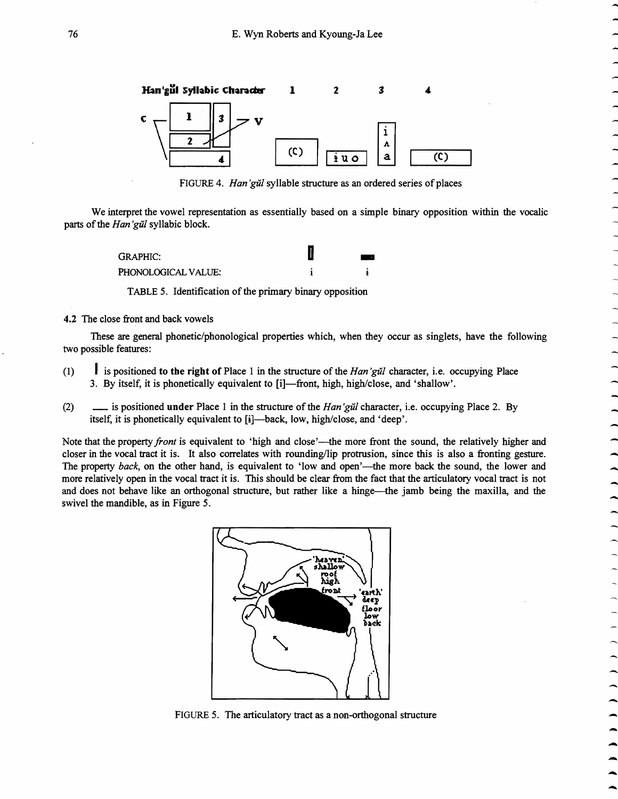

FIGURE 4. Han'gŭl syllable structure as an ordered series of places

We interpret the vowel representation as essentially based on a simple binary opposition within the vocalic parts of the Han'gull syllabic block.

| <i>Han gil</i> l synabic block. |                  |
|---------------------------------|------------------|
| <b>GRAPHIC:</b>                 | $\sim$ 100 $\pm$ |
| PHONOLOGICAL VALUE:             |                  |

TABLE 5. Identification of the primary binary opposition

4.2 The close front and back vowels

These are general phonetic/phonological properties which, when they occur as singlets, have the following two possible features:

- (1) I is positioned to the right of Place 1 in the structure of the Han'gull character, i.e. occupying Place 3. By itself, it is phonetically equivalent to [i]-front, high, high/close, and 'shallow'.
- (2)  $\qquad \qquad \qquad \qquad$  is positioned under Place 1 in the structure of the *Han'gil* character, i.e. occupying Place 2. By itself, it is phonetically equivalent to [i]—back, low, high/close, and 'deep'.

Note that the property *front* is equivalent to 'high and close'—the more front the sound, the relatively higher and closer in the vocal tract it is. It also correlates with rounding/lip protrusion, since this is also a fronting gesture. The property *back*, on the other hand, is equivalent to 'low and open'—the more back the sound, the lower and more relatively open in the vocal tract it is. This should be clear from the fact that the articulatory vocal tract is not and does not behave like an orthogonal structure, but rather like a hinge—the jamb being the maxilla, and the swivel the mandible, as in Figure 5.



FIGURE 5. The articulatory tract as a non-orthogonal structure

 $\begin{array}{c} \n\bullet \end{array}$   $\begin{array}{c} \bullet \end{array}$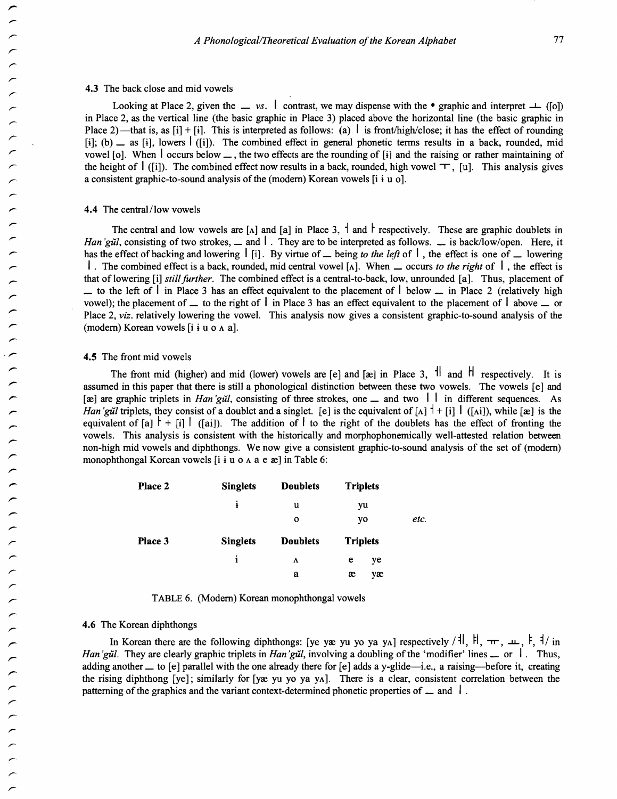#### 4.3 The back close and mid vowels

Looking at Place 2, given the  $\equiv v_s$ .  $\perp$  contrast, we may dispense with the • graphic and interpret  $\perp$  ([0]) in Place 2, as the vertical line (the basic graphic in Place 3) placed above the horizontal line (the basic graphic in Place 2)—that is, as [i] + [i]. This is interpreted as follows: (a)  $\vert$  is front/high/close; it has the effect of rounding [i]; (b)  $\equiv$  as [i], lowers  $\mid$  ([i]). The combined effect in general phonetic terms results in a back, rounded, mid vowel [o]. When  $\frac{1}{1}$  occurs below  $\frac{1}{1}$ , the two effects are the rounding of [i] and the raising or rather maintaining of the height of  $\mathsf{I}$  ([i]). The combined effect now results in a back, rounded, high vowel  $\top$ , [u]. This analysis gives a consistent graphic-to-sound analysis of the (modern) Korean vowels  $[i \text{ i } u \text{ o}]$ .

#### 4.4 The central/low vowels

The central and low vowels are  $[\Lambda]$  and  $[\alpha]$  in Place 3,  $\dagger$  and  $\dagger$  respectively. These are graphic doublets in *Han'gill, consisting of two strokes,*  $\equiv$  *and*  $\mid$ *. They are to be interpreted as follows.*  $\equiv$  *is back/low/open. Here, it* has the effect of backing and lowering  $\begin{bmatrix} 1 \end{bmatrix}$ . By virtue of  $\Delta$  being *to the left* of  $\begin{bmatrix} 1 \end{bmatrix}$ , the effect is one of  $\Delta$  lowering I . The combined effect is a back, rounded, mid central vowel  $[\lambda]$ . When  $\Delta$  occurs *to the right* of  $\Delta$ , the effect is that of lowering [i] *stUlfurther.* The combined effect is a central-to-back, low, unrounded [a]. Thus, placement of  $\perp$  to the left of  $\perp$  in Place 3 has an effect equivalent to the placement of  $\perp$  below  $\perp$  in Place 2 (relatively high vowel); the placement of  $\perp$  to the right of  $\parallel$  in Place 3 has an effect equivalent to the placement of  $\parallel$  above  $\perp$  or Place 2, *viz.* relatively lowering the vowel. This analysis now gives a consistent graphic-to-sound analysis of the (modern) Korean vowels  $[i \text{ i } u \text{ o } \land a]$ .

#### 4.5 The front mid vowels

The front mid (higher) and mid (lower) vowels are [e] and [æ] in Place 3,  $||$  and  $||$  respectively. It is assumed in this paper that there is still a phonological distinction between these two vowels. The vowels [e] and [xe] are graphic triplets in *Han'gul*, consisting of three strokes, one \_ and two  $\vert \vert$  in different sequences. As *Han'gill* triplets, they consist of a doublet and a singlet. [e] is the equivalent of  $[A]$ <sup> $\dagger$ </sup> + [i]  $\dagger$  ([Ai]), while [æ] is the equivalent of [a]  $\vert + \vert i \vert \vert$  ([ai]). The addition of  $\vert$  to the right of the doublets has the effect of fronting the vowels. This analysis is consistent with the historically and morphophonemically well-attested relation between non-high mid vowels and diphthongs. We now give a consistent graphic-to-sound analysis of the set of (modem) monophthongal Korean vowels [i i u 0 Aa e re] in Table 6:

| Place 2 | <b>Singlets</b> | <b>Doublets</b> | <b>Triplets</b> |      |
|---------|-----------------|-----------------|-----------------|------|
|         | į               | u               | yu              |      |
|         |                 | $\mathbf o$     | yo              | etc. |
| Place 3 | <b>Singlets</b> | <b>Doublets</b> | <b>Triplets</b> |      |
|         | 1               | Λ               | e<br>ye         |      |
|         |                 | a               | æ<br>yæ         |      |

TABLE 6. (Modem) Korean monophthongal vowels

## 4.6 The Korean diphthongs

In Korean there are the following diphthongs: [ye yæ yu yo ya yA] respectively /  $||$ ,  $||$ ,  $\pi$ ,  $\mu$ ,  $\vdash$ ,  $||$  in *Han'gull.* They are clearly graphic triplets in *Han'gull*, involving a doubling of the 'modifier' lines  $\Box$  or  $\Box$ . Thus, adding another  $\perp$  to [e] parallel with the one already there for [e] adds a y-glide—i.e., a raising—before it, creating the rising diphthong  $[ye]$ ; similarly for  $[ye yu yo ya y<sub>A</sub>]$ . There is a clear, consistent correlation between the patterning of the graphics and the variant context-determined phonetic properties of  $\Box$  and  $\Box$ .